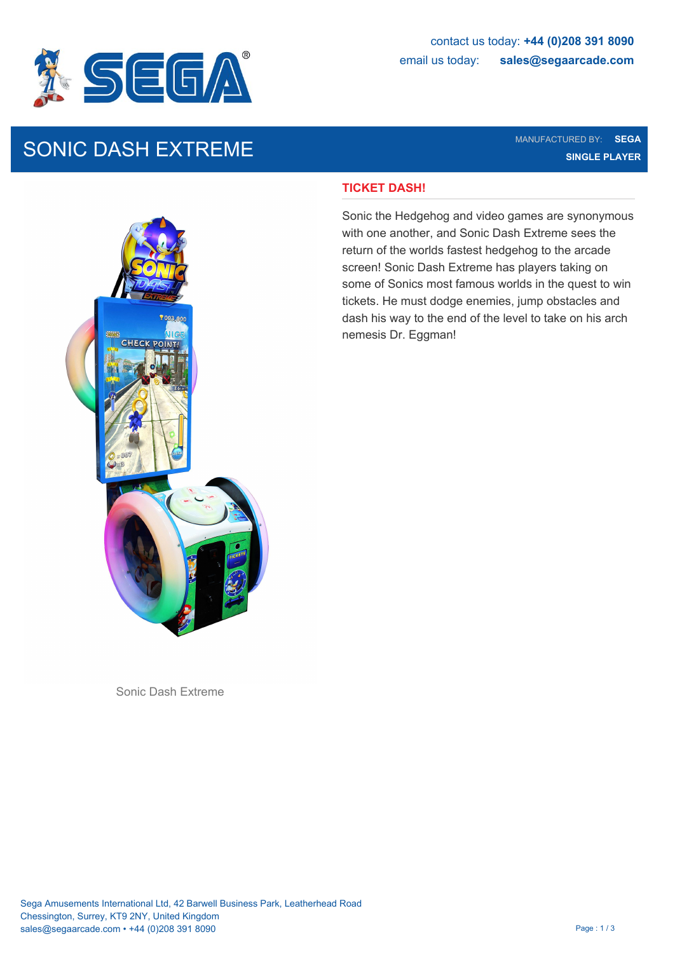

# SONIC DASH EXTREME MANUFACTURED BY: SEGA NANUFACTURED BY: SEGA

**SINGLE PLAYER**

## **TICKET DASH!**

Sonic the Hedgehog and video games are synonymous with one another, and Sonic Dash Extreme sees the return of the worlds fastest hedgehog to the arcade screen! Sonic Dash Extreme has players taking on some of Sonics most famous worlds in the quest to win tickets. He must dodge enemies, jump obstacles and dash his way to the end of the level to take on his arch nemesis Dr. Eggman!



Sonic Dash Extreme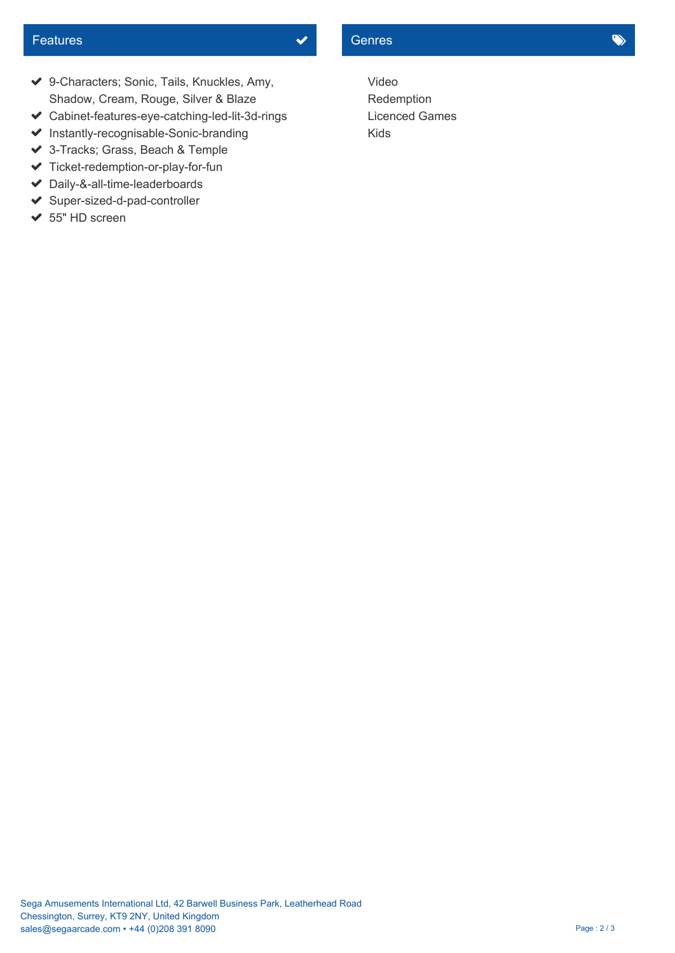## Features **Contract Contract Contract Contract Contract Contract Contract Contract Contract Contract Contract Contract Contract Contract Contract Contract Contract Contract Contract Contract Contract Contract Contract Contr**

- 9-Characters; Sonic, Tails, Knuckles, Amy, Shadow, Cream, Rouge, Silver & Blaze
- Cabinet-features-eye-catching-led-lit-3d-rings
- ◆ Instantly-recognisable-Sonic-branding Kids
- 3-Tracks; Grass, Beach & Temple
- $\blacktriangleright$  Ticket-redemption-or-play-for-fun
- Daily-&-all-time-leaderboards
- ◆ Super-sized-d-pad-controller
- $\triangleleft$  55" HD screen

Video Redemption Licenced Games Kids